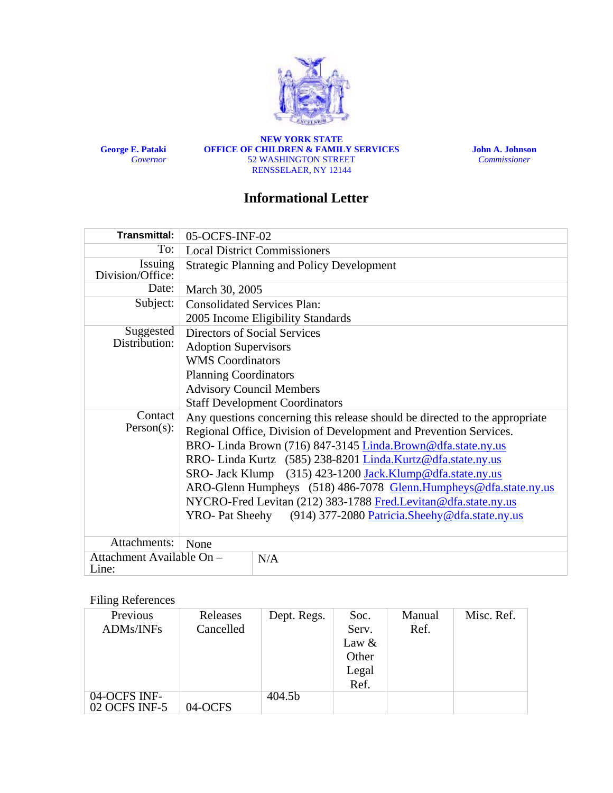

**George E. Pataki**  *Governor*

**NEW YORK STATE OFFICE OF CHILDREN & FAMILY SERVICES**  52 WASHINGTON STREET RENSSELAER, NY 12144

**John A. Johnson** *Commissioner* 

## **Informational Letter**

| <b>Transmittal:</b>                | 05-OCFS-INF-02                                                                                                                                   |  |  |  |
|------------------------------------|--------------------------------------------------------------------------------------------------------------------------------------------------|--|--|--|
| To:                                | <b>Local District Commissioners</b>                                                                                                              |  |  |  |
| Issuing<br>Division/Office:        | <b>Strategic Planning and Policy Development</b>                                                                                                 |  |  |  |
| Date:                              | March 30, 2005                                                                                                                                   |  |  |  |
| Subject:                           | <b>Consolidated Services Plan:</b>                                                                                                               |  |  |  |
|                                    | 2005 Income Eligibility Standards                                                                                                                |  |  |  |
| Suggested                          | Directors of Social Services                                                                                                                     |  |  |  |
| Distribution:                      | <b>Adoption Supervisors</b>                                                                                                                      |  |  |  |
|                                    | <b>WMS</b> Coordinators                                                                                                                          |  |  |  |
|                                    | <b>Planning Coordinators</b>                                                                                                                     |  |  |  |
|                                    | <b>Advisory Council Members</b>                                                                                                                  |  |  |  |
|                                    | <b>Staff Development Coordinators</b>                                                                                                            |  |  |  |
| Contact<br>$Person(s)$ :           | Any questions concerning this release should be directed to the appropriate<br>Regional Office, Division of Development and Prevention Services. |  |  |  |
|                                    | BRO-Linda Brown (716) 847-3145 Linda.Brown@dfa.state.ny.us                                                                                       |  |  |  |
|                                    | RRO- Linda Kurtz (585) 238-8201 Linda.Kurtz@dfa.state.ny.us                                                                                      |  |  |  |
|                                    | SRO- Jack Klump (315) 423-1200 Jack.Klump@dfa.state.ny.us                                                                                        |  |  |  |
|                                    | ARO-Glenn Humpheys (518) 486-7078 Glenn.Humpheys@dfa.state.ny.us                                                                                 |  |  |  |
|                                    | NYCRO-Fred Levitan (212) 383-1788 Fred.Levitan@dfa.state.ny.us                                                                                   |  |  |  |
|                                    | (914) 377-2080 Patricia. Sheehy@dfa.state.ny.us<br><b>YRO-</b> Pat Sheehy                                                                        |  |  |  |
| Attachments:                       | None                                                                                                                                             |  |  |  |
| Attachment Available On -<br>Line: | N/A                                                                                                                                              |  |  |  |

## Filing References

| Previous      | Releases  | Dept. Regs. | Soc.     | Manual | Misc. Ref. |
|---------------|-----------|-------------|----------|--------|------------|
| ADMs/INFs     | Cancelled |             | Serv.    | Ref.   |            |
|               |           |             | Law $\&$ |        |            |
|               |           |             | Other    |        |            |
|               |           |             | Legal    |        |            |
|               |           |             | Ref.     |        |            |
| 04-OCFS INF-  |           | 404.5b      |          |        |            |
| 02 OCFS INF-5 | 04-OCFS   |             |          |        |            |